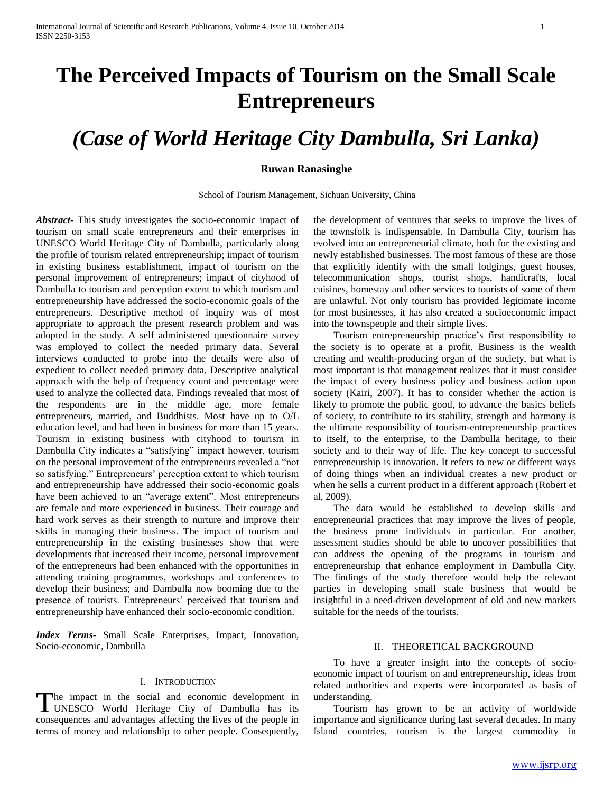# **The Perceived Impacts of Tourism on the Small Scale Entrepreneurs**

## *(Case of World Heritage City Dambulla, Sri Lanka)*

#### **Ruwan Ranasinghe**

School of Tourism Management, Sichuan University, China

*Abstract***-** This study investigates the socio-economic impact of tourism on small scale entrepreneurs and their enterprises in UNESCO World Heritage City of Dambulla, particularly along the profile of tourism related entrepreneurship; impact of tourism in existing business establishment, impact of tourism on the personal improvement of entrepreneurs; impact of cityhood of Dambulla to tourism and perception extent to which tourism and entrepreneurship have addressed the socio-economic goals of the entrepreneurs. Descriptive method of inquiry was of most appropriate to approach the present research problem and was adopted in the study. A self administered questionnaire survey was employed to collect the needed primary data. Several interviews conducted to probe into the details were also of expedient to collect needed primary data. Descriptive analytical approach with the help of frequency count and percentage were used to analyze the collected data. Findings revealed that most of the respondents are in the middle age, more female entrepreneurs, married, and Buddhists. Most have up to O/L education level, and had been in business for more than 15 years. Tourism in existing business with cityhood to tourism in Dambulla City indicates a "satisfying" impact however, tourism on the personal improvement of the entrepreneurs revealed a "not so satisfying." Entrepreneurs' perception extent to which tourism and entrepreneurship have addressed their socio-economic goals have been achieved to an "average extent". Most entrepreneurs are female and more experienced in business. Their courage and hard work serves as their strength to nurture and improve their skills in managing their business. The impact of tourism and entrepreneurship in the existing businesses show that were developments that increased their income, personal improvement of the entrepreneurs had been enhanced with the opportunities in attending training programmes, workshops and conferences to develop their business; and Dambulla now booming due to the presence of tourists. Entrepreneurs' perceived that tourism and entrepreneurship have enhanced their socio-economic condition.

*Index Terms*- Small Scale Enterprises, Impact, Innovation, Socio-economic, Dambulla

#### I. INTRODUCTION

The impact in the social and economic development in The impact in the social and economic development in UNESCO World Heritage City of Dambulla has its consequences and advantages affecting the lives of the people in terms of money and relationship to other people. Consequently,

the development of ventures that seeks to improve the lives of the townsfolk is indispensable. In Dambulla City, tourism has evolved into an entrepreneurial climate, both for the existing and newly established businesses. The most famous of these are those that explicitly identify with the small lodgings, guest houses, telecommunication shops, tourist shops, handicrafts, local cuisines, homestay and other services to tourists of some of them are unlawful. Not only tourism has provided legitimate income for most businesses, it has also created a socioeconomic impact into the townspeople and their simple lives.

 Tourism entrepreneurship practice's first responsibility to the society is to operate at a profit. Business is the wealth creating and wealth-producing organ of the society, but what is most important is that management realizes that it must consider the impact of every business policy and business action upon society (Kairi, 2007). It has to consider whether the action is likely to promote the public good, to advance the basics beliefs of society, to contribute to its stability, strength and harmony is the ultimate responsibility of tourism-entrepreneurship practices to itself, to the enterprise, to the Dambulla heritage, to their society and to their way of life. The key concept to successful entrepreneurship is innovation. It refers to new or different ways of doing things when an individual creates a new product or when he sells a current product in a different approach (Robert et al, 2009).

 The data would be established to develop skills and entrepreneurial practices that may improve the lives of people, the business prone individuals in particular. For another, assessment studies should be able to uncover possibilities that can address the opening of the programs in tourism and entrepreneurship that enhance employment in Dambulla City. The findings of the study therefore would help the relevant parties in developing small scale business that would be insightful in a need-driven development of old and new markets suitable for the needs of the tourists.

### II. THEORETICAL BACKGROUND

 To have a greater insight into the concepts of socioeconomic impact of tourism on and entrepreneurship, ideas from related authorities and experts were incorporated as basis of understanding.

 Tourism has grown to be an activity of worldwide importance and significance during last several decades. In many Island countries, tourism is the largest commodity in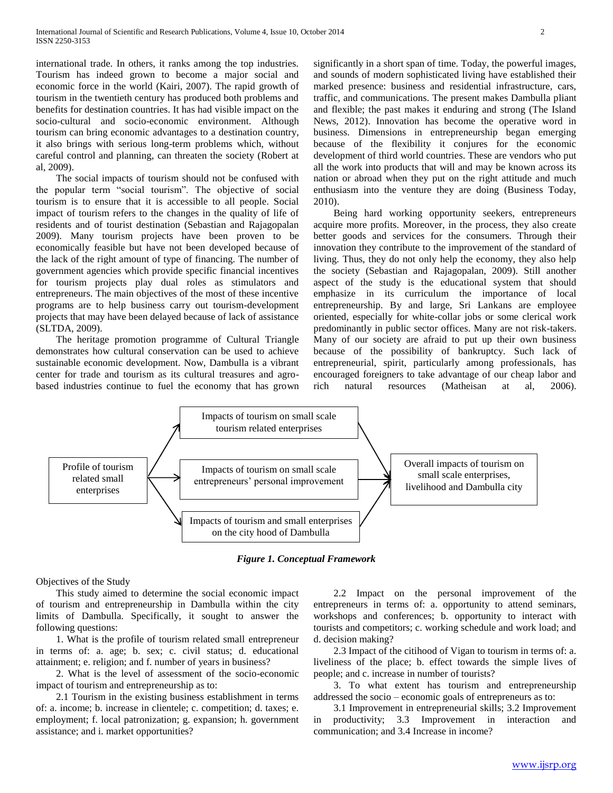international trade. In others, it ranks among the top industries. Tourism has indeed grown to become a major social and economic force in the world (Kairi, 2007). The rapid growth of tourism in the twentieth century has produced both problems and benefits for destination countries. It has had visible impact on the socio-cultural and socio-economic environment. Although tourism can bring economic advantages to a destination country, it also brings with serious long-term problems which, without careful control and planning, can threaten the society (Robert at al, 2009).

 The social impacts of tourism should not be confused with the popular term "social tourism". The objective of social tourism is to ensure that it is accessible to all people. Social impact of tourism refers to the changes in the quality of life of residents and of tourist destination (Sebastian and Rajagopalan 2009). Many tourism projects have been proven to be economically feasible but have not been developed because of the lack of the right amount of type of financing. The number of government agencies which provide specific financial incentives for tourism projects play dual roles as stimulators and entrepreneurs. The main objectives of the most of these incentive programs are to help business carry out tourism-development projects that may have been delayed because of lack of assistance (SLTDA, 2009).

 The heritage promotion programme of Cultural Triangle demonstrates how cultural conservation can be used to achieve sustainable economic development. Now, Dambulla is a vibrant center for trade and tourism as its cultural treasures and agrobased industries continue to fuel the economy that has grown significantly in a short span of time. Today, the powerful images, and sounds of modern sophisticated living have established their marked presence: business and residential infrastructure, cars, traffic, and communications. The present makes Dambulla pliant and flexible; the past makes it enduring and strong (The Island News, 2012). Innovation has become the operative word in business. Dimensions in entrepreneurship began emerging because of the flexibility it conjures for the economic development of third world countries. These are vendors who put all the work into products that will and may be known across its nation or abroad when they put on the right attitude and much enthusiasm into the venture they are doing (Business Today, 2010).

 Being hard working opportunity seekers, entrepreneurs acquire more profits. Moreover, in the process, they also create better goods and services for the consumers. Through their innovation they contribute to the improvement of the standard of living. Thus, they do not only help the economy, they also help the society (Sebastian and Rajagopalan, 2009). Still another aspect of the study is the educational system that should emphasize in its curriculum the importance of local entrepreneurship. By and large, Sri Lankans are employee oriented, especially for white-collar jobs or some clerical work predominantly in public sector offices. Many are not risk-takers. Many of our society are afraid to put up their own business because of the possibility of bankruptcy. Such lack of entrepreneurial, spirit, particularly among professionals, has encouraged foreigners to take advantage of our cheap labor and rich natural resources (Matheisan at al, 2006).



*Figure 1. Conceptual Framework*

Objectives of the Study

 This study aimed to determine the social economic impact of tourism and entrepreneurship in Dambulla within the city limits of Dambulla. Specifically, it sought to answer the following questions:

 1. What is the profile of tourism related small entrepreneur in terms of: a. age; b. sex; c. civil status; d. educational attainment; e. religion; and f. number of years in business?

 2. What is the level of assessment of the socio-economic impact of tourism and entrepreneurship as to:

 2.1 Tourism in the existing business establishment in terms of: a. income; b. increase in clientele; c. competition; d. taxes; e. employment; f. local patronization; g. expansion; h. government assistance; and i. market opportunities?

 2.2 Impact on the personal improvement of the entrepreneurs in terms of: a. opportunity to attend seminars, workshops and conferences; b. opportunity to interact with tourists and competitors; c. working schedule and work load; and d. decision making?

 2.3 Impact of the citihood of Vigan to tourism in terms of: a. liveliness of the place; b. effect towards the simple lives of people; and c. increase in number of tourists?

 3. To what extent has tourism and entrepreneurship addressed the socio – economic goals of entrepreneurs as to:

 3.1 Improvement in entrepreneurial skills; 3.2 Improvement in productivity; 3.3 Improvement in interaction and communication; and 3.4 Increase in income?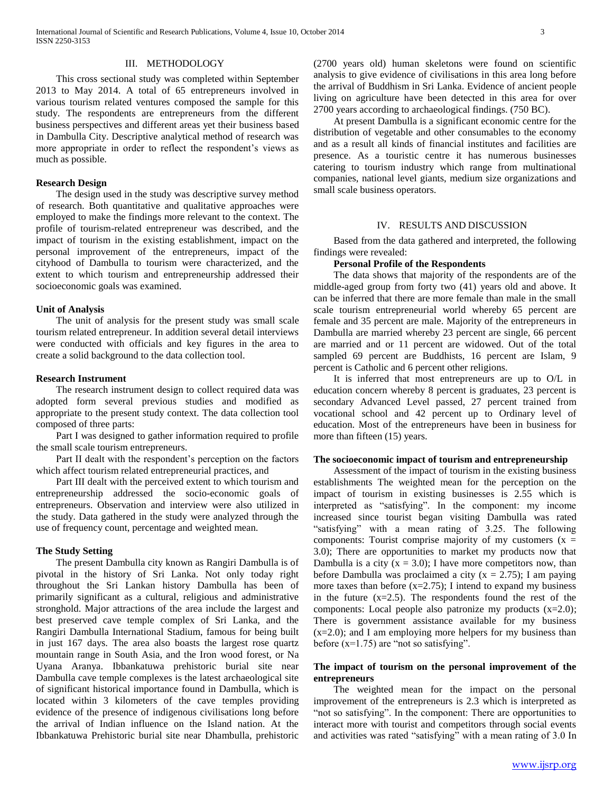#### III. METHODOLOGY

 This cross sectional study was completed within September 2013 to May 2014. A total of 65 entrepreneurs involved in various tourism related ventures composed the sample for this study. The respondents are entrepreneurs from the different business perspectives and different areas yet their business based in Dambulla City. Descriptive analytical method of research was more appropriate in order to reflect the respondent's views as much as possible.

#### **Research Design**

 The design used in the study was descriptive survey method of research. Both quantitative and qualitative approaches were employed to make the findings more relevant to the context. The profile of tourism-related entrepreneur was described, and the impact of tourism in the existing establishment, impact on the personal improvement of the entrepreneurs, impact of the cityhood of Dambulla to tourism were characterized, and the extent to which tourism and entrepreneurship addressed their socioeconomic goals was examined.

#### **Unit of Analysis**

 The unit of analysis for the present study was small scale tourism related entrepreneur. In addition several detail interviews were conducted with officials and key figures in the area to create a solid background to the data collection tool.

#### **Research Instrument**

 The research instrument design to collect required data was adopted form several previous studies and modified as appropriate to the present study context. The data collection tool composed of three parts:

 Part I was designed to gather information required to profile the small scale tourism entrepreneurs.

 Part II dealt with the respondent's perception on the factors which affect tourism related entrepreneurial practices, and

 Part III dealt with the perceived extent to which tourism and entrepreneurship addressed the socio-economic goals of entrepreneurs. Observation and interview were also utilized in the study. Data gathered in the study were analyzed through the use of frequency count, percentage and weighted mean.

#### **The Study Setting**

 The present Dambulla city known as Rangiri Dambulla is of pivotal in the history of Sri Lanka. Not only today right throughout the Sri Lankan history Dambulla has been of primarily significant as a cultural, religious and administrative stronghold. Major attractions of the area include the largest and best preserved cave temple complex of Sri Lanka, and the Rangiri Dambulla International Stadium, famous for being built in just 167 days. The area also boasts the largest rose quartz mountain range in South Asia, and the Iron wood forest, or Na Uyana Aranya. Ibbankatuwa prehistoric burial site near Dambulla cave temple complexes is the latest archaeological site of significant historical importance found in Dambulla, which is located within 3 kilometers of the cave temples providing evidence of the presence of indigenous civilisations long before the arrival of Indian influence on the Island nation. At the Ibbankatuwa Prehistoric burial site near Dhambulla, prehistoric (2700 years old) human skeletons were found on scientific analysis to give evidence of civilisations in this area long before the arrival of Buddhism in Sri Lanka. Evidence of ancient people living on agriculture have been detected in this area for over 2700 years according to archaeological findings. (750 BC).

 At present Dambulla is a significant economic centre for the distribution of vegetable and other consumables to the economy and as a result all kinds of financial institutes and facilities are presence. As a touristic centre it has numerous businesses catering to tourism industry which range from multinational companies, national level giants, medium size organizations and small scale business operators.

#### IV. RESULTS AND DISCUSSION

 Based from the data gathered and interpreted, the following findings were revealed:

#### **Personal Profile of the Respondents**

 The data shows that majority of the respondents are of the middle-aged group from forty two (41) years old and above. It can be inferred that there are more female than male in the small scale tourism entrepreneurial world whereby 65 percent are female and 35 percent are male. Majority of the entrepreneurs in Dambulla are married whereby 23 percent are single, 66 percent are married and or 11 percent are widowed. Out of the total sampled 69 percent are Buddhists, 16 percent are Islam, 9 percent is Catholic and 6 percent other religions.

 It is inferred that most entrepreneurs are up to O/L in education concern whereby 8 percent is graduates, 23 percent is secondary Advanced Level passed, 27 percent trained from vocational school and 42 percent up to Ordinary level of education. Most of the entrepreneurs have been in business for more than fifteen (15) years.

#### **The socioeconomic impact of tourism and entrepreneurship**

 Assessment of the impact of tourism in the existing business establishments The weighted mean for the perception on the impact of tourism in existing businesses is 2.55 which is interpreted as "satisfying". In the component: my income increased since tourist began visiting Dambulla was rated "satisfying" with a mean rating of 3.25. The following components: Tourist comprise majority of my customers  $(x =$ 3.0); There are opportunities to market my products now that Dambulla is a city  $(x = 3.0)$ ; I have more competitors now, than before Dambulla was proclaimed a city ( $x = 2.75$ ); I am paying more taxes than before  $(x=2.75)$ ; I intend to expand my business in the future  $(x=2.5)$ . The respondents found the rest of the components: Local people also patronize my products (x=2.0); There is government assistance available for my business  $(x=2.0)$ ; and I am employing more helpers for my business than before (x=1.75) are "not so satisfying".

### **The impact of tourism on the personal improvement of the entrepreneurs**

 The weighted mean for the impact on the personal improvement of the entrepreneurs is 2.3 which is interpreted as "not so satisfying". In the component: There are opportunities to interact more with tourist and competitors through social events and activities was rated "satisfying" with a mean rating of 3.0 In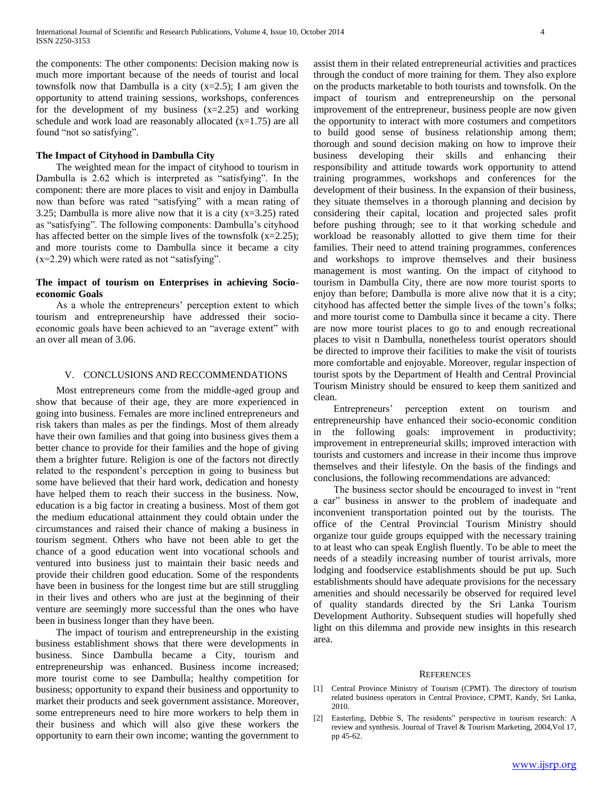the components: The other components: Decision making now is much more important because of the needs of tourist and local townsfolk now that Dambulla is a city  $(x=2.5)$ ; I am given the opportunity to attend training sessions, workshops, conferences for the development of my business  $(x=2.25)$  and working schedule and work load are reasonably allocated  $(x=1.75)$  are all found "not so satisfying".

#### **The Impact of Cityhood in Dambulla City**

 The weighted mean for the impact of cityhood to tourism in Dambulla is 2.62 which is interpreted as "satisfying". In the component: there are more places to visit and enjoy in Dambulla now than before was rated "satisfying" with a mean rating of 3.25; Dambulla is more alive now that it is a city  $(x=3.25)$  rated as "satisfying". The following components: Dambulla's cityhood has affected better on the simple lives of the townsfolk  $(x=2.25)$ ; and more tourists come to Dambulla since it became a city (x=2.29) which were rated as not "satisfying".

#### **The impact of tourism on Enterprises in achieving Socioeconomic Goals**

 As a whole the entrepreneurs' perception extent to which tourism and entrepreneurship have addressed their socioeconomic goals have been achieved to an "average extent" with an over all mean of 3.06.

#### V. CONCLUSIONS AND RECCOMMENDATIONS

 Most entrepreneurs come from the middle-aged group and show that because of their age, they are more experienced in going into business. Females are more inclined entrepreneurs and risk takers than males as per the findings. Most of them already have their own families and that going into business gives them a better chance to provide for their families and the hope of giving them a brighter future. Religion is one of the factors not directly related to the respondent's perception in going to business but some have believed that their hard work, dedication and honesty have helped them to reach their success in the business. Now, education is a big factor in creating a business. Most of them got the medium educational attainment they could obtain under the circumstances and raised their chance of making a business in tourism segment. Others who have not been able to get the chance of a good education went into vocational schools and ventured into business just to maintain their basic needs and provide their children good education. Some of the respondents have been in business for the longest time but are still struggling in their lives and others who are just at the beginning of their venture are seemingly more successful than the ones who have been in business longer than they have been.

 The impact of tourism and entrepreneurship in the existing business establishment shows that there were developments in business. Since Dambulla became a City, tourism and entrepreneurship was enhanced. Business income increased; more tourist come to see Dambulla; healthy competition for business; opportunity to expand their business and opportunity to market their products and seek government assistance. Moreover, some entrepreneurs need to hire more workers to help them in their business and which will also give these workers the opportunity to earn their own income; wanting the government to

assist them in their related entrepreneurial activities and practices through the conduct of more training for them. They also explore on the products marketable to both tourists and townsfolk. On the impact of tourism and entrepreneurship on the personal improvement of the entrepreneur, business people are now given the opportunity to interact with more costumers and competitors to build good sense of business relationship among them; thorough and sound decision making on how to improve their business developing their skills and enhancing their responsibility and attitude towards work opportunity to attend training programmes, workshops and conferences for the development of their business. In the expansion of their business, they situate themselves in a thorough planning and decision by considering their capital, location and projected sales profit before pushing through; see to it that working schedule and workload be reasonably allotted to give them time for their families. Their need to attend training programmes, conferences and workshops to improve themselves and their business management is most wanting. On the impact of cityhood to tourism in Dambulla City, there are now more tourist sports to enjoy than before; Dambulla is more alive now that it is a city; cityhood has affected better the simple lives of the town's folks; and more tourist come to Dambulla since it became a city. There are now more tourist places to go to and enough recreational places to visit n Dambulla, nonetheless tourist operators should be directed to improve their facilities to make the visit of tourists more comfortable and enjoyable. Moreover, regular inspection of tourist spots by the Department of Health and Central Provincial Tourism Ministry should be ensured to keep them sanitized and clean.

 Entrepreneurs' perception extent on tourism and entrepreneurship have enhanced their socio-economic condition in the following goals: improvement in productivity; improvement in entrepreneurial skills; improved interaction with tourists and customers and increase in their income thus improve themselves and their lifestyle. On the basis of the findings and conclusions, the following recommendations are advanced:

 The business sector should be encouraged to invest in "rent a car" business in answer to the problem of inadequate and inconvenient transportation pointed out by the tourists. The office of the Central Provincial Tourism Ministry should organize tour guide groups equipped with the necessary training to at least who can speak English fluently. To be able to meet the needs of a steadily increasing number of tourist arrivals, more lodging and foodservice establishments should be put up. Such establishments should have adequate provisions for the necessary amenities and should necessarily be observed for required level of quality standards directed by the Sri Lanka Tourism Development Authority. Subsequent studies will hopefully shed light on this dilemma and provide new insights in this research area.

#### **REFERENCES**

- [1] Central Province Ministry of Tourism (CPMT). The directory of tourism related business operators in Central Province, CPMT, Kandy, Sri Lanka, 2010.
- [2] Easterling, Debbie S, The residents" perspective in tourism research: A review and synthesis. Journal of Travel & Tourism Marketing, 2004,Vol 17, pp 45-62.